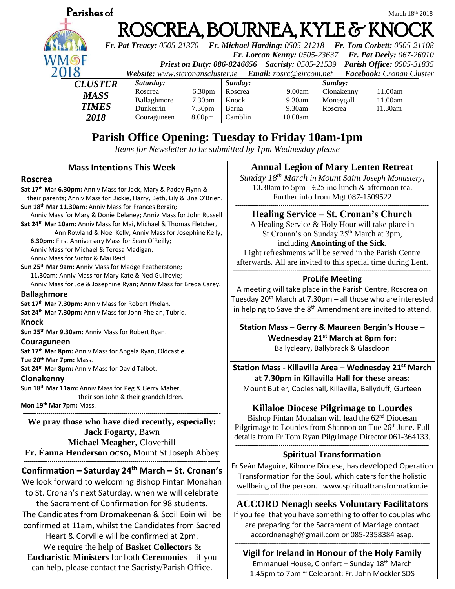

# **Parish Office Opening: Tuesday to Friday 10am-1pm**

*Items for Newsletter to be submitted by 1pm Wednesday please*

#### **Mass Intentions This Week**

### **Roscrea**

**Sat 17th Mar 6.30pm:** Anniv Mass for Jack, Mary & Paddy Flynn & their parents; Anniv Mass for Dickie, Harry, Beth, Lily & Una O'Brien. **Sun 18th Mar 11.30am:** Anniv Mass for Frances Bergin; Anniv Mass for Mary & Donie Delaney; Anniv Mass for John Russell **Sat 24th Mar 10am:** Anniv Mass for Mai, Michael & Thomas Fletcher, Ann Rowland & Noel Kelly; Anniv Mass for Josephine Kelly;  **6.30pm:** First Anniversary Mass for Sean O'Reilly; Anniv Mass for Michael & Teresa Madigan; Anniv Mass for Victor & Mai Reid. **Sun 25th Mar 9am:** Anniv Mass for Madge Featherstone;  **11.30am**: Anniv Mass for Mary Kate & Ned Guilfoyle; Anniv Mass for Joe & Josephine Ryan; Anniv Mass for Breda Carey. **Ballaghmore Sat 17th Mar 7.30pm:** Anniv Mass for Robert Phelan. **Sat 24th Mar 7.30pm:** Anniv Mass for John Phelan, Tubrid. **Knock**

**Sun 25th Mar 9.30am:** Anniv Mass for Robert Ryan.

#### **Couraguneen**

**Sat 17th Mar 8pm:** Anniv Mass for Angela Ryan, Oldcastle. **Tue 20th Mar 7pm:** Mass.

**Sat 24th Mar 8pm:** Anniv Mass for David Talbot.

#### **Clonakenny**

**Sun 18th Mar 11am:** Anniv Mass for Peg & Gerry Maher, their son John & their grandchildren.

**Mon 19th Mar 7pm:** Mass.

**We pray those who have died recently, especially: Jack Fogarty,** Bawn **Michael Meagher,** Cloverhill **Fr. Éanna Henderson OCSO,** Mount St Joseph Abbey

----------------------------------------------------------------------------------------------------

--------------------------------------------------------------------------------------------------- **Confirmation – Saturday 24th March – St. Cronan's**  We look forward to welcoming Bishop Fintan Monahan to St. Cronan's next Saturday, when we will celebrate the Sacrament of Confirmation for 98 students. The Candidates from Dromakeenan & Scoil Eoin will be confirmed at 11am, whilst the Candidates from Sacred Heart & Corville will be confirmed at 2pm. We require the help of **Basket Collectors** &

**Eucharistic Ministers** for both **Ceremonies** – if you can help, please contact the Sacristy/Parish Office.

### **Annual Legion of Mary Lenten Retreat**

*Sunday 18th March in Mount Saint Joseph Monastery*, 10.30am to 5pm -  $E$ 25 inc lunch & afternoon tea. Further info from Mgt 087-1509522 --------------------------------------------------------------------------------------------------

# **Healing Service – St. Cronan's Church**

A Healing Service & Holy Hour will take place in St Cronan's on Sunday 25<sup>th</sup> March at 3pm, including **Anointing of the Sick**.

Light refreshments will be served in the Parish Centre afterwards. All are invited to this special time during Lent. **----------------------------------------------------------------------------------------------------**

#### **ProLife Meeting**

A meeting will take place in the Parish Centre, Roscrea on Tuesday  $20<sup>th</sup>$  March at 7.30pm – all those who are interested in helping to Save the  $8<sup>th</sup>$  Amendment are invited to attend.

**Station Mass – Gerry & Maureen Bergin's House – Wednesday 21st March at 8pm for:** Ballycleary, Ballybrack & Glascloon

**---------------------------------------------------------------------------------------------------------**

**Station Mass - Killavilla Area – Wednesday 21st March at 7.30pm in Killavilla Hall for these areas:** Mount Butler, Cooleshall, Killavilla, Ballyduff, Gurteen

# **Killaloe Diocese Pilgrimage to Lourdes**

Bishop Fintan Monahan will lead the 62nd Diocesan Pilgrimage to Lourdes from Shannon on Tue 26<sup>th</sup> June. Full details from Fr Tom Ryan Pilgrimage Director 061-364133. --------------------------------------------------------------------------------------------------

### **Spiritual Transformation**

Fr Seán Maguire, Kilmore Diocese, has developed Operation Transformation for the Soul, which caters for the holistic wellbeing of the person. [www.spiritualtransformation.ie](http://www.spiritualtransformation.ie/)

#### ------------------------------------------------------------------------------------------------- **ACCORD Nenagh seeks Voluntary Facilitators**

If you feel that you have something to offer to couples who are preparing for the Sacrament of Marriage contact [accordnenagh@gmail.com](mailto:accordnenagh@gmail.com) or 085-2358384 asap.

#### ----------------------------------------------------------------------------------------------------------- **Vigil for Ireland in Honour of the Holy Family**

Emmanuel House, Clonfert – Sunday 18th March 1.45pm to 7pm ~ Celebrant: Fr. John Mockler SDS